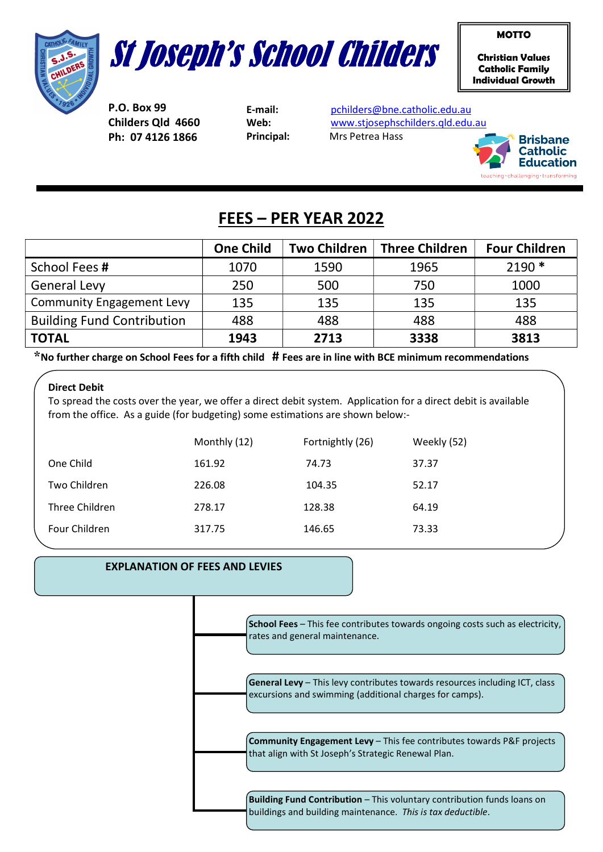



Christian Values Catholic Family Individual Growth

MOTTO

P.O. Box 99 Childers Qld 4660 Ph: 07 4126 1866

E-mail: pchilders@bne.catholic.edu.au Web: www.stjosephschilders.qld.edu.au Principal: Mrs Petrea Hass



# FEES – PER YEAR 2022

|                                   | <b>One Child</b> | <b>Two Children</b> | <b>Three Children</b> | <b>Four Children</b> |
|-----------------------------------|------------------|---------------------|-----------------------|----------------------|
| School Fees #                     | 1070             | 1590                | 1965                  | $2190*$              |
| <b>General Levy</b>               | 250              | 500                 | 750                   | 1000                 |
| <b>Community Engagement Levy</b>  | 135              | 135                 | 135                   | 135                  |
| <b>Building Fund Contribution</b> | 488              | 488                 | 488                   | 488                  |
| <b>TOTAL</b>                      | 1943             | 2713                | 3338                  | 3813                 |

 $*$ No further charge on School Fees for a fifth child  $#$  Fees are in line with BCE minimum recommendations

### Direct Debit

To spread the costs over the year, we offer a direct debit system. Application for a direct debit is available from the office. As a guide (for budgeting) some estimations are shown below:-

|                | Monthly (12) | Fortnightly (26) | Weekly (52) |
|----------------|--------------|------------------|-------------|
| One Child      | 161.92       | 74.73            | 37.37       |
| Two Children   | 226.08       | 104.35           | 52.17       |
| Three Children | 278.17       | 128.38           | 64.19       |
| Four Children  | 317.75       | 146.65           | 73.33       |

## EXPLANATION OF FEES AND LEVIES

School Fees - This fee contributes towards ongoing costs such as electricity, rates and general maintenance.

General Levy - This levy contributes towards resources including ICT, class excursions and swimming (additional charges for camps).

Community Engagement Levy – This fee contributes towards P&F projects that align with St Joseph's Strategic Renewal Plan.

**Building Fund Contribution** – This voluntary contribution funds loans on buildings and building maintenance. This is tax deductible.